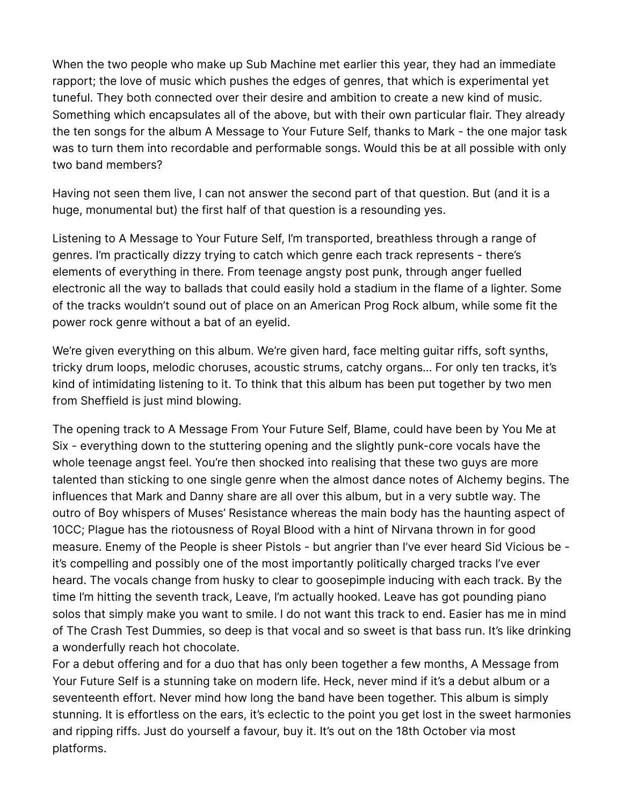When the two people who make up Sub Machine met earlier this year, they had an immediate rapport; the love of music which pushes the edges of genres, that which is experimental yet tuneful. They both connected over their desire and ambition to create a new kind of music. Something which encapsulates all of the above, but with their own particular flair. They already the ten songs for the album A Message to Your Future Self, thanks to Mark - the one major task was to turn them into recordable and performable songs. Would this be at all possible with only two band members?

Having not seen them live, I can not answer the second part of that question. But (and it is a huge, monumental but) the first half of that question is a resounding yes.

Listening to A Message to Your Future Self, I'm transported, breathless through a range of genres. I'm practically dizzy trying to catch which genre each track represents - there's elements of everything in there. From teenage angsty post punk, through anger fuelled electronic all the way to ballads that could easily hold a stadium in the flame of a lighter. Some of the tracks wouldn't sound out of place on an American Prog Rock album, while some fit the power rock genre without a bat of an eyelid.

We're given everything on this album. We're given hard, face melting guitar riffs, soft synths, tricky drum loops, melodic choruses, acoustic strums, catchy organs… For only ten tracks, it's kind of intimidating listening to it. To think that this album has been put together by two men from Sheffield is just mind blowing.

The opening track to A Message From Your Future Self, Blame, could have been by You Me at Six - everything down to the stuttering opening and the slightly punk-core vocals have the whole teenage angst feel. You're then shocked into realising that these two guys are more talented than sticking to one single genre when the almost dance notes of Alchemy begins. The influences that Mark and Danny share are all over this album, but in a very subtle way. The outro of Boy whispers of Muses' Resistance whereas the main body has the haunting aspect of 10CC; Plague has the riotousness of Royal Blood with a hint of Nirvana thrown in for good measure. Enemy of the People is sheer Pistols - but angrier than I've ever heard Sid Vicious be it's compelling and possibly one of the most importantly politically charged tracks I've ever heard. The vocals change from husky to clear to goosepimple inducing with each track. By the time I'm hitting the seventh track, Leave, I'm actually hooked. Leave has got pounding piano solos that simply make you want to smile. I do not want this track to end. Easier has me in mind of The Crash Test Dummies, so deep is that vocal and so sweet is that bass run. It's like drinking a wonderfully reach hot chocolate.

For a debut offering and for a duo that has only been together a few months, A Message from Your Future Self is a stunning take on modern life. Heck, never mind if it's a debut album or a seventeenth effort. Never mind how long the band have been together. This album is simply stunning. It is effortless on the ears, it's eclectic to the point you get lost in the sweet harmonies and ripping riffs. Just do yourself a favour, buy it. It's out on the 18th October via most platforms.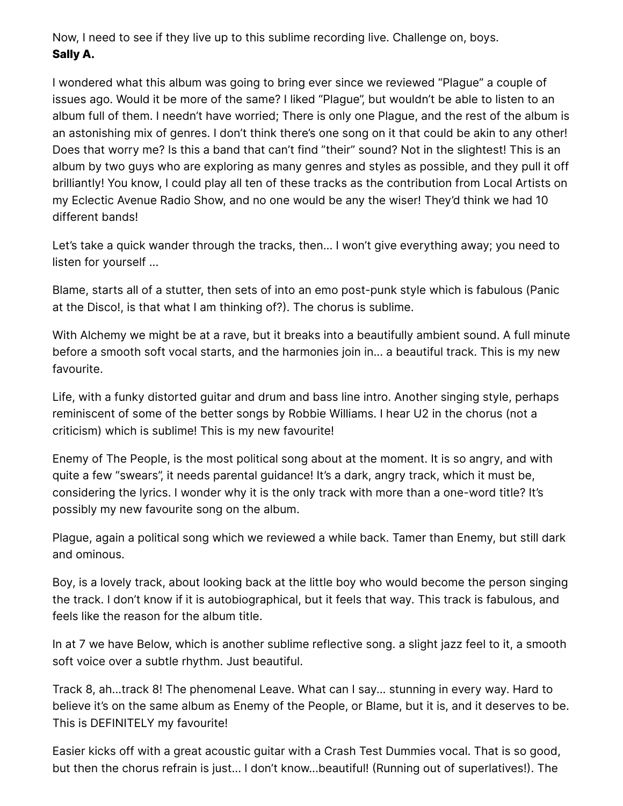Now, I need to see if they live up to this sublime recording live. Challenge on, boys. **Sally A.**

I wondered what this album was going to bring ever since we reviewed "Plague" a couple of issues ago. Would it be more of the same? I liked "Plague", but wouldn't be able to listen to an album full of them. I needn't have worried; There is only one Plague, and the rest of the album is an astonishing mix of genres. I don't think there's one song on it that could be akin to any other! Does that worry me? Is this a band that can't find "their" sound? Not in the slightest! This is an album by two guys who are exploring as many genres and styles as possible, and they pull it off brilliantly! You know, I could play all ten of these tracks as the contribution from Local Artists on my Eclectic Avenue Radio Show, and no one would be any the wiser! They'd think we had 10 different bands!

Let's take a quick wander through the tracks, then... I won't give everything away; you need to listen for yourself ...

Blame, starts all of a stutter, then sets of into an emo post-punk style which is fabulous (Panic at the Disco!, is that what I am thinking of?). The chorus is sublime.

With Alchemy we might be at a rave, but it breaks into a beautifully ambient sound. A full minute before a smooth soft vocal starts, and the harmonies join in... a beautiful track. This is my new favourite.

Life, with a funky distorted guitar and drum and bass line intro. Another singing style, perhaps reminiscent of some of the better songs by Robbie Williams. I hear U2 in the chorus (not a criticism) which is sublime! This is my new favourite!

Enemy of The People, is the most political song about at the moment. It is so angry, and with quite a few "swears", it needs parental guidance! It's a dark, angry track, which it must be, considering the lyrics. I wonder why it is the only track with more than a one-word title? It's possibly my new favourite song on the album.

Plague, again a political song which we reviewed a while back. Tamer than Enemy, but still dark and ominous.

Boy, is a lovely track, about looking back at the little boy who would become the person singing the track. I don't know if it is autobiographical, but it feels that way. This track is fabulous, and feels like the reason for the album title.

In at 7 we have Below, which is another sublime reflective song. a slight jazz feel to it, a smooth soft voice over a subtle rhythm. Just beautiful.

Track 8, ah...track 8! The phenomenal Leave. What can I say... stunning in every way. Hard to believe it's on the same album as Enemy of the People, or Blame, but it is, and it deserves to be. This is DEFINITELY my favourite!

Easier kicks off with a great acoustic guitar with a Crash Test Dummies vocal. That is so good, but then the chorus refrain is just... I don't know...beautiful! (Running out of superlatives!). The